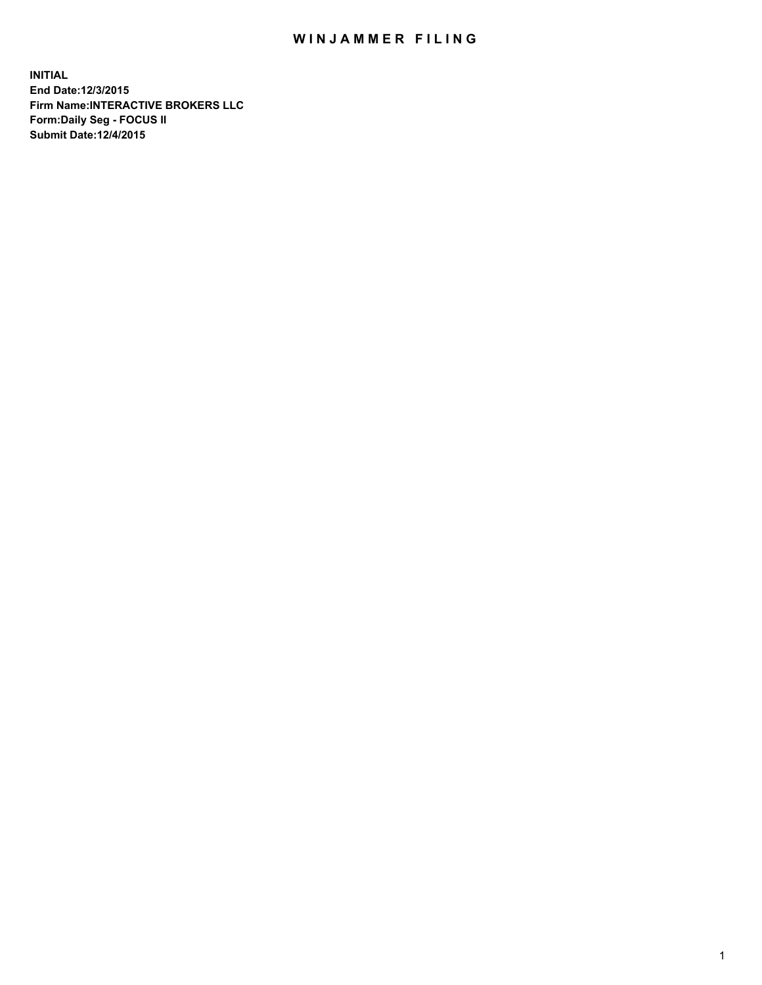## WIN JAMMER FILING

**INITIAL End Date:12/3/2015 Firm Name:INTERACTIVE BROKERS LLC Form:Daily Seg - FOCUS II Submit Date:12/4/2015**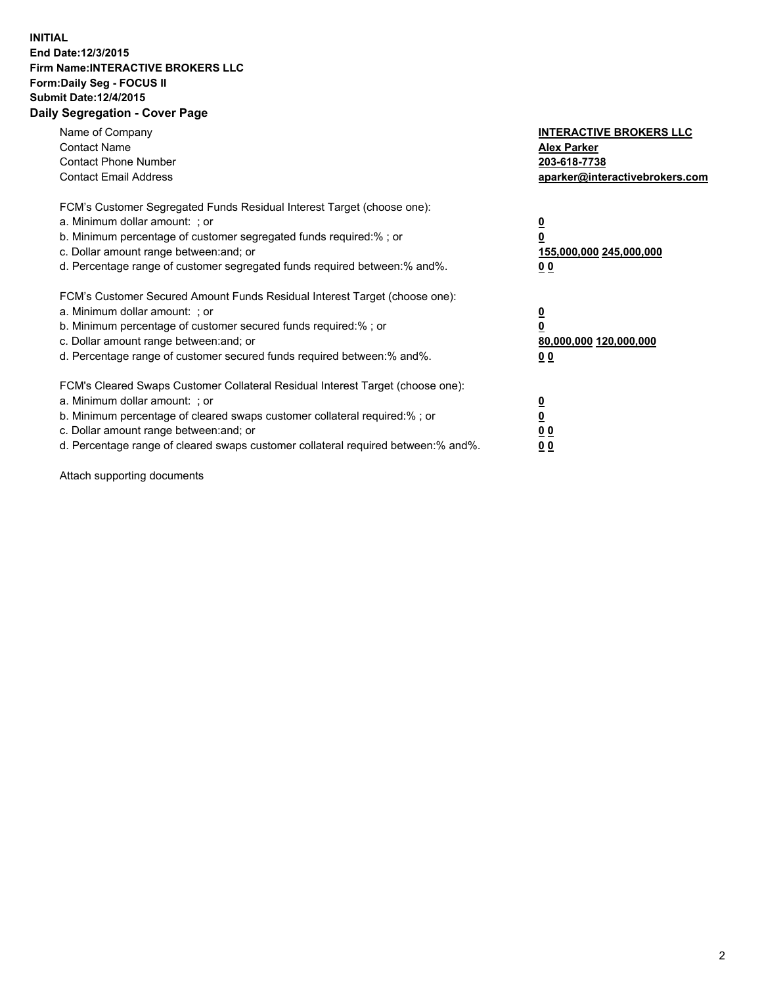## **INITIAL End Date:12/3/2015 Firm Name:INTERACTIVE BROKERS LLC Form:Daily Seg - FOCUS II Submit Date:12/4/2015 Daily Segregation - Cover Page**

| Name of Company<br><b>Contact Name</b><br><b>Contact Phone Number</b><br><b>Contact Email Address</b>                                                                                                                                                                                                                         | <b>INTERACTIVE BROKERS LLC</b><br><b>Alex Parker</b><br>203-618-7738<br>aparker@interactivebrokers.com |
|-------------------------------------------------------------------------------------------------------------------------------------------------------------------------------------------------------------------------------------------------------------------------------------------------------------------------------|--------------------------------------------------------------------------------------------------------|
| FCM's Customer Segregated Funds Residual Interest Target (choose one):<br>a. Minimum dollar amount: ; or<br>b. Minimum percentage of customer segregated funds required:% ; or<br>c. Dollar amount range between: and; or<br>d. Percentage range of customer segregated funds required between:% and%.                        | <u>0</u><br>155,000,000 245,000,000<br>0 <sub>0</sub>                                                  |
| FCM's Customer Secured Amount Funds Residual Interest Target (choose one):<br>a. Minimum dollar amount: ; or<br>b. Minimum percentage of customer secured funds required:%; or<br>c. Dollar amount range between: and; or<br>d. Percentage range of customer secured funds required between: % and %.                         | <u>0</u><br>80,000,000 120,000,000<br><u>00</u>                                                        |
| FCM's Cleared Swaps Customer Collateral Residual Interest Target (choose one):<br>a. Minimum dollar amount: ; or<br>b. Minimum percentage of cleared swaps customer collateral required:%; or<br>c. Dollar amount range between: and; or<br>d. Percentage range of cleared swaps customer collateral required between:% and%. | <u>0</u><br>0 <sub>0</sub><br>0 <sub>0</sub>                                                           |

Attach supporting documents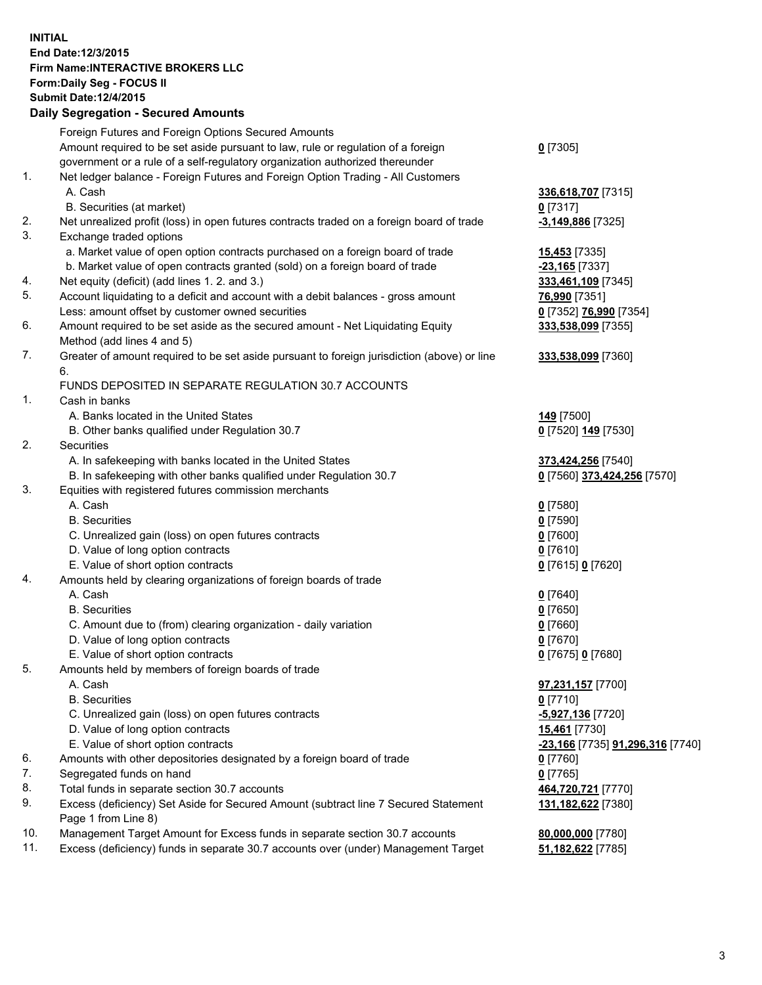## **INITIAL End Date:12/3/2015 Firm Name:INTERACTIVE BROKERS LLC Form:Daily Seg - FOCUS II Submit Date:12/4/2015 Daily Segregation - Secured Amounts**

|     | Daily Segregation - Secured Amounts                                                                          |                                  |
|-----|--------------------------------------------------------------------------------------------------------------|----------------------------------|
|     | Foreign Futures and Foreign Options Secured Amounts                                                          |                                  |
|     | Amount required to be set aside pursuant to law, rule or regulation of a foreign                             | $0$ [7305]                       |
|     | government or a rule of a self-regulatory organization authorized thereunder                                 |                                  |
| 1.  | Net ledger balance - Foreign Futures and Foreign Option Trading - All Customers                              |                                  |
|     | A. Cash                                                                                                      | 336,618,707 [7315]               |
|     | B. Securities (at market)                                                                                    | $0$ [7317]                       |
| 2.  | Net unrealized profit (loss) in open futures contracts traded on a foreign board of trade                    | $-3,149,886$ [7325]              |
| 3.  | Exchange traded options                                                                                      |                                  |
|     |                                                                                                              |                                  |
|     | a. Market value of open option contracts purchased on a foreign board of trade                               | <b>15,453</b> [7335]             |
|     | b. Market value of open contracts granted (sold) on a foreign board of trade                                 | $-23,165$ [7337]                 |
| 4.  | Net equity (deficit) (add lines 1.2. and 3.)                                                                 | 333,461,109 [7345]               |
| 5.  | Account liquidating to a deficit and account with a debit balances - gross amount                            | 76,990 [7351]                    |
|     | Less: amount offset by customer owned securities                                                             | 0 [7352] 76,990 [7354]           |
| 6.  | Amount required to be set aside as the secured amount - Net Liquidating Equity<br>Method (add lines 4 and 5) | 333,538,099 [7355]               |
| 7.  | Greater of amount required to be set aside pursuant to foreign jurisdiction (above) or line                  | 333,538,099 [7360]               |
|     | 6.                                                                                                           |                                  |
|     | FUNDS DEPOSITED IN SEPARATE REGULATION 30.7 ACCOUNTS                                                         |                                  |
| 1.  | Cash in banks                                                                                                |                                  |
|     | A. Banks located in the United States                                                                        | 149 [7500]                       |
|     | B. Other banks qualified under Regulation 30.7                                                               | 0 [7520] 149 [7530]              |
| 2.  | Securities                                                                                                   |                                  |
|     | A. In safekeeping with banks located in the United States                                                    | 373,424,256 [7540]               |
|     | B. In safekeeping with other banks qualified under Regulation 30.7                                           | 0 [7560] 373,424,256 [7570]      |
| 3.  | Equities with registered futures commission merchants                                                        |                                  |
|     | A. Cash                                                                                                      | $0$ [7580]                       |
|     | <b>B.</b> Securities                                                                                         | $0$ [7590]                       |
|     | C. Unrealized gain (loss) on open futures contracts                                                          | $0$ [7600]                       |
|     | D. Value of long option contracts                                                                            | $0$ [7610]                       |
|     | E. Value of short option contracts                                                                           | 0 [7615] 0 [7620]                |
| 4.  | Amounts held by clearing organizations of foreign boards of trade                                            |                                  |
|     | A. Cash                                                                                                      | $0$ [7640]                       |
|     | <b>B.</b> Securities                                                                                         | $0$ [7650]                       |
|     | C. Amount due to (from) clearing organization - daily variation                                              | $0$ [7660]                       |
|     | D. Value of long option contracts                                                                            | $0$ [7670]                       |
|     | E. Value of short option contracts                                                                           |                                  |
|     |                                                                                                              | 0 [7675] 0 [7680]                |
| 5.  | Amounts held by members of foreign boards of trade                                                           |                                  |
|     | A. Cash                                                                                                      | 97,231,157 [7700]                |
|     | <b>B.</b> Securities                                                                                         | $0$ [7710]                       |
|     | C. Unrealized gain (loss) on open futures contracts                                                          | -5,927,136 [7720]                |
|     | D. Value of long option contracts                                                                            | 15,461 [7730]                    |
|     | E. Value of short option contracts                                                                           | -23,166 [7735] 91,296,316 [7740] |
| 6.  | Amounts with other depositories designated by a foreign board of trade                                       | 0 [7760]                         |
| 7.  | Segregated funds on hand                                                                                     | $0$ [7765]                       |
| 8.  | Total funds in separate section 30.7 accounts                                                                | 464,720,721 [7770]               |
| 9.  | Excess (deficiency) Set Aside for Secured Amount (subtract line 7 Secured Statement                          | 131,182,622 [7380]               |
|     | Page 1 from Line 8)                                                                                          |                                  |
| 10. | Management Target Amount for Excess funds in separate section 30.7 accounts                                  | 80,000,000 [7780]                |
| 11. | Excess (deficiency) funds in separate 30.7 accounts over (under) Management Target                           | 51,182,622 [7785]                |
|     |                                                                                                              |                                  |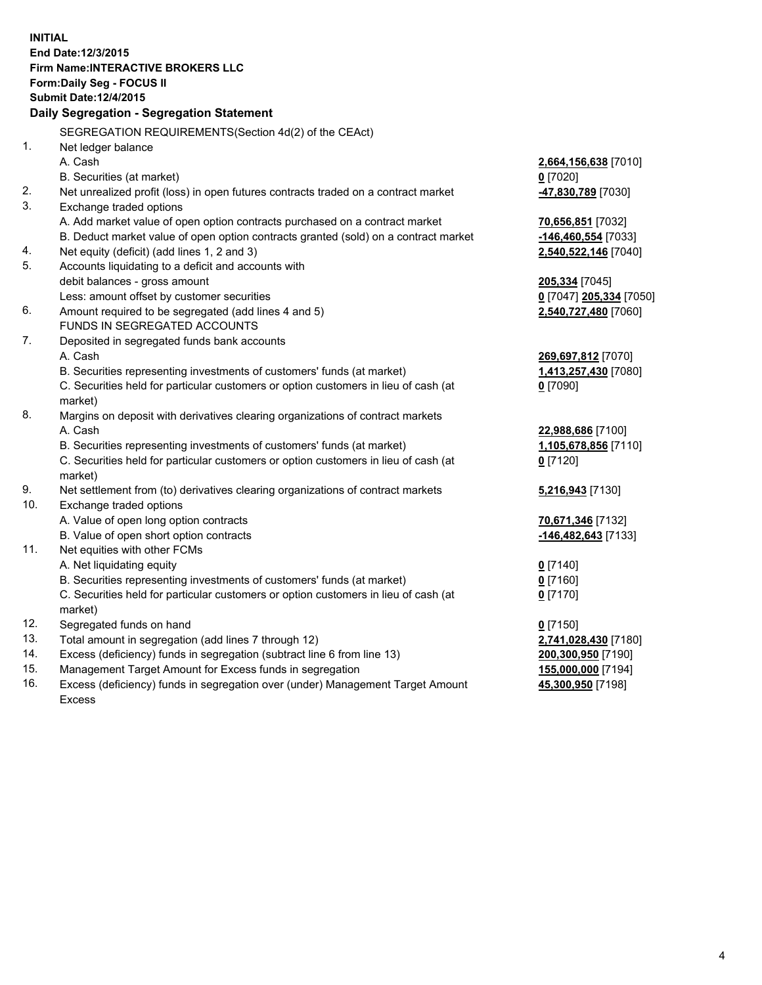**INITIAL End Date:12/3/2015 Firm Name:INTERACTIVE BROKERS LLC Form:Daily Seg - FOCUS II Submit Date:12/4/2015 Daily Segregation - Segregation Statement** SEGREGATION REQUIREMENTS(Section 4d(2) of the CEAct) 1. Net ledger balance A. Cash **2,664,156,638** [7010] B. Securities (at market) **0** [7020] 2. Net unrealized profit (loss) in open futures contracts traded on a contract market **-47,830,789** [7030] 3. Exchange traded options A. Add market value of open option contracts purchased on a contract market **70,656,851** [7032] B. Deduct market value of open option contracts granted (sold) on a contract market **-146,460,554** [7033] 4. Net equity (deficit) (add lines 1, 2 and 3) **2,540,522,146** [7040] 5. Accounts liquidating to a deficit and accounts with debit balances - gross amount **205,334** [7045] Less: amount offset by customer securities **0** [7047] **205,334** [7050] 6. Amount required to be segregated (add lines 4 and 5) **2,540,727,480** [7060] FUNDS IN SEGREGATED ACCOUNTS 7. Deposited in segregated funds bank accounts A. Cash **269,697,812** [7070] B. Securities representing investments of customers' funds (at market) **1,413,257,430** [7080] C. Securities held for particular customers or option customers in lieu of cash (at market) **0** [7090] 8. Margins on deposit with derivatives clearing organizations of contract markets A. Cash **22,988,686** [7100] B. Securities representing investments of customers' funds (at market) **1,105,678,856** [7110] C. Securities held for particular customers or option customers in lieu of cash (at market) **0** [7120] 9. Net settlement from (to) derivatives clearing organizations of contract markets **5,216,943** [7130] 10. Exchange traded options A. Value of open long option contracts **70,671,346** [7132] B. Value of open short option contracts **-146,482,643** [7133] 11. Net equities with other FCMs A. Net liquidating equity **0** [7140] B. Securities representing investments of customers' funds (at market) **0** [7160] C. Securities held for particular customers or option customers in lieu of cash (at market) **0** [7170] 12. Segregated funds on hand **0** [7150] 13. Total amount in segregation (add lines 7 through 12) **2,741,028,430** [7180] 14. Excess (deficiency) funds in segregation (subtract line 6 from line 13) **200,300,950** [7190] 15. Management Target Amount for Excess funds in segregation **155,000,000** [7194]

16. Excess (deficiency) funds in segregation over (under) Management Target Amount Excess

**45,300,950** [7198]